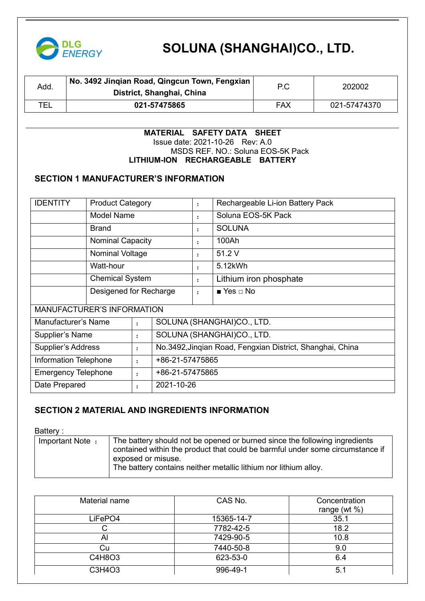

| Add. | No. 3492 Jingian Road, Qingcun Town, Fengxian<br>District, Shanghai, China | ΡC         | 202002       |
|------|----------------------------------------------------------------------------|------------|--------------|
| TEL  | 021-57475865                                                               | <b>FAX</b> | 021-57474370 |

#### **MATERIAL SAFETY DATA SHEET** Issue date: 2021-10-26 Rev: A.0 MSDS REF. NO.: Soluna EOS-5K Pack **LITHIUM-ION RECHARGEABLE BATTERY**

#### **SECTION 1 MANUFACTURER'S INFORMATION**

| <b>IDENTITY</b>                                | <b>Product Category</b> |                                                           |                        | $\ddot{\cdot}$               | Rechargeable Li-ion Battery Pack |  |  |
|------------------------------------------------|-------------------------|-----------------------------------------------------------|------------------------|------------------------------|----------------------------------|--|--|
| <b>Model Name</b>                              |                         |                                                           |                        | $\ddot{\cdot}$               | Soluna EOS-5K Pack               |  |  |
|                                                | <b>Brand</b>            |                                                           |                        | $\ddot{\cdot}$               | <b>SOLUNA</b>                    |  |  |
|                                                | <b>Nominal Capacity</b> |                                                           |                        |                              | 100Ah                            |  |  |
|                                                | Nominal Voltage         |                                                           |                        | $\ddot{\cdot}$               | 51.2 V                           |  |  |
| Watt-hour                                      |                         |                                                           |                        | $\ddot{\cdot}$               | 5.12kWh                          |  |  |
| <b>Chemical System</b>                         |                         | $\ddot{\cdot}$                                            | Lithium iron phosphate |                              |                                  |  |  |
|                                                | Desigened for Recharge  |                                                           | $\ddot{\cdot}$         | $\blacksquare$ Yes $\Box$ No |                                  |  |  |
| <b>MANUFACTURER'S INFORMATION</b>              |                         |                                                           |                        |                              |                                  |  |  |
| Manufacturer's Name                            |                         | $\ddot{\cdot}$                                            |                        |                              | SOLUNA (SHANGHAI)CO., LTD.       |  |  |
| Supplier's Name<br>$\ddot{\cdot}$              |                         | SOLUNA (SHANGHAI)CO., LTD.                                |                        |                              |                                  |  |  |
| <b>Supplier's Address</b><br>$\ddot{\cdot}$    |                         | No.3492, Jinqian Road, Fengxian District, Shanghai, China |                        |                              |                                  |  |  |
| <b>Information Telephone</b><br>$\ddot{\cdot}$ |                         | +86-21-57475865                                           |                        |                              |                                  |  |  |
| <b>Emergency Telephone</b><br>$\ddot{\cdot}$   |                         | +86-21-57475865                                           |                        |                              |                                  |  |  |
| Date Prepared<br>2021-10-26<br>$\ddot{\cdot}$  |                         |                                                           |                        |                              |                                  |  |  |

#### **SECTION 2 MATERIAL AND INGREDIENTS INFORMATION**

Battery :

| Important Note: | The battery should not be opened or burned since the following ingredients    |  |
|-----------------|-------------------------------------------------------------------------------|--|
|                 | contained within the product that could be barmful under some circumstance if |  |
|                 | exposed or misuse.                                                            |  |
|                 | The battery contains neither metallic lithium nor lithium alloy.              |  |
|                 |                                                                               |  |

| Material name | CAS No.    | Concentration<br>range (wt $\%$ ) |
|---------------|------------|-----------------------------------|
| LiFePO4       | 15365-14-7 | 35.1                              |
|               | 7782-42-5  | 18.2                              |
| Al            | 7429-90-5  | 10.8                              |
| Cu            | 7440-50-8  | 9.0                               |
| C4H8O3        | 623-53-0   | 6.4                               |
| C3H4O3        | 996-49-1   | 5.1                               |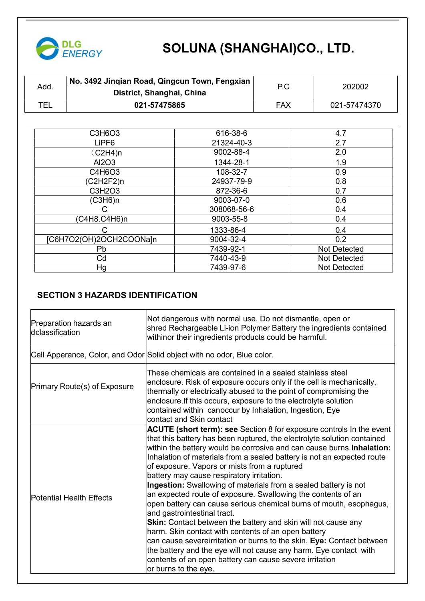

| No. 3492 Jinqian Road, Qingcun Town, Fengxian  <br>Add<br>District, Shanghai, China | P.C | 202002       |
|-------------------------------------------------------------------------------------|-----|--------------|
| TEL<br>021-57475865                                                                 | FAX | 021-57474370 |

| C3H6O3                  | 616-38-6    | 4.7          |
|-------------------------|-------------|--------------|
| LiPF6                   | 21324-40-3  | 2.7          |
| (C2H4)n                 | 9002-88-4   | 2.0          |
| Al2O3                   | 1344-28-1   | 1.9          |
| C4H6O3                  | 108-32-7    | 0.9          |
| (C2H2F2)n               | 24937-79-9  | 0.8          |
| C3H2O3                  | 872-36-6    | 0.7          |
| (C3H6)n                 | 9003-07-0   | 0.6          |
|                         | 308068-56-6 | 0.4          |
| (C4H8.C4H6)n            | 9003-55-8   | 0.4          |
|                         | 1333-86-4   | 0.4          |
| [C6H7O2(OH)2OCH2COONa]n | 9004-32-4   | 0.2          |
| <b>Pb</b>               | 7439-92-1   | Not Detected |
| Cd                      | 7440-43-9   | Not Detected |
| Hg                      | 7439-97-6   | Not Detected |
|                         |             |              |

#### **SECTION 3 HAZARDS IDENTIFICATION**

| Preparation hazards an<br>dclassification | Not dangerous with normal use. Do not dismantle, open or<br>shred Rechargeable Li-ion Polymer Battery the ingredients contained<br>withinor their ingredients products could be harmful.                                                                                                                                                                                                                                                                                                                                                                                                                                                                                                                                                                                                                                                                                                                                                                                                                        |
|-------------------------------------------|-----------------------------------------------------------------------------------------------------------------------------------------------------------------------------------------------------------------------------------------------------------------------------------------------------------------------------------------------------------------------------------------------------------------------------------------------------------------------------------------------------------------------------------------------------------------------------------------------------------------------------------------------------------------------------------------------------------------------------------------------------------------------------------------------------------------------------------------------------------------------------------------------------------------------------------------------------------------------------------------------------------------|
|                                           | Cell Apperance, Color, and Odor Solid object with no odor, Blue color.                                                                                                                                                                                                                                                                                                                                                                                                                                                                                                                                                                                                                                                                                                                                                                                                                                                                                                                                          |
| Primary Route(s) of Exposure              | These chemicals are contained in a sealed stainless steel<br>enclosure. Risk of exposure occurs only if the cell is mechanically,<br>thermally or electrically abused to the point of compromising the<br>enclosure. If this occurs, exposure to the electrolyte solution<br>contained within canoccur by Inhalation, Ingestion, Eye<br>contact and Skin contact                                                                                                                                                                                                                                                                                                                                                                                                                                                                                                                                                                                                                                                |
| <b>Potential Health Effects</b>           | <b>ACUTE (short term): see</b> Section 8 for exposure controls In the event<br>that this battery has been ruptured, the electrolyte solution contained<br>within the battery would be corrosive and can cause burns. Inhalation:<br>Inhalation of materials from a sealed battery is not an expected route<br>of exposure. Vapors or mists from a ruptured<br>battery may cause respiratory irritation.<br>Ingestion: Swallowing of materials from a sealed battery is not<br>an expected route of exposure. Swallowing the contents of an<br>open battery can cause serious chemical burns of mouth, esophagus,<br>and gastrointestinal tract.<br><b>Skin:</b> Contact between the battery and skin will not cause any<br>harm. Skin contact with contents of an open battery<br>can cause severeirritation or burns to the skin. Eye: Contact between<br>the battery and the eye will not cause any harm. Eye contact with<br>contents of an open battery can cause severe irritation<br>or burns to the eye. |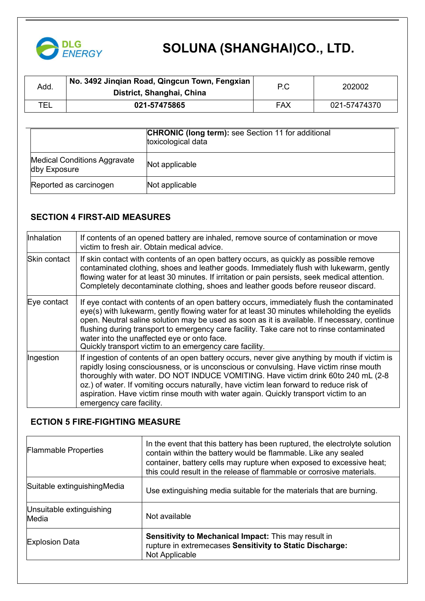

| Add. | No. 3492 Jingian Road, Qingcun Town, Fengxian<br>District, Shanghai, China | P.C | 202002       |
|------|----------------------------------------------------------------------------|-----|--------------|
| TEL  | 021-57475865                                                               | FAX | 021-57474370 |

|                                                     | <b>CHRONIC (long term):</b> see Section 11 for additional<br>toxicological data |
|-----------------------------------------------------|---------------------------------------------------------------------------------|
| <b>Medical Conditions Aggravate</b><br>dby Exposure | Not applicable                                                                  |
| Reported as carcinogen                              | Not applicable                                                                  |

## **SECTION 4 FIRST-AID MEASURES**

| Inhalation   | If contents of an opened battery are inhaled, remove source of contamination or move<br>victim to fresh air. Obtain medical advice.                                                                                                                                                                                                                                                                                                                                                              |
|--------------|--------------------------------------------------------------------------------------------------------------------------------------------------------------------------------------------------------------------------------------------------------------------------------------------------------------------------------------------------------------------------------------------------------------------------------------------------------------------------------------------------|
| Skin contact | If skin contact with contents of an open battery occurs, as quickly as possible remove<br>contaminated clothing, shoes and leather goods. Immediately flush with lukewarm, gently<br>flowing water for at least 30 minutes. If irritation or pain persists, seek medical attention.<br>Completely decontaminate clothing, shoes and leather goods before reuseor discard.                                                                                                                        |
| Eye contact  | If eye contact with contents of an open battery occurs, immediately flush the contaminated<br>eye(s) with lukewarm, gently flowing water for at least 30 minutes whileholding the eyelids<br>open. Neutral saline solution may be used as soon as it is available. If necessary, continue<br>flushing during transport to emergency care facility. Take care not to rinse contaminated<br>water into the unaffected eye or onto face.<br>Quickly transport victim to an emergency care facility. |
| Ingestion    | If ingestion of contents of an open battery occurs, never give anything by mouth if victim is<br>rapidly losing consciousness, or is unconscious or convulsing. Have victim rinse mouth<br>thoroughly with water. DO NOT INDUCE VOMITING. Have victim drink 60to 240 mL (2-8<br>oz.) of water. If vomiting occurs naturally, have victim lean forward to reduce risk of<br>aspiration. Have victim rinse mouth with water again. Quickly transport victim to an<br>emergency care facility.      |

#### **ECTION 5 FIRE-FIGHTING MEASURE**

| <b>Flammable Properties</b>       | In the event that this battery has been ruptured, the electrolyte solution<br>contain within the battery would be flammable. Like any sealed<br>container, battery cells may rupture when exposed to excessive heat;<br>this could result in the release of flammable or corrosive materials. |
|-----------------------------------|-----------------------------------------------------------------------------------------------------------------------------------------------------------------------------------------------------------------------------------------------------------------------------------------------|
| Suitable extinguishing Media      | Use extinguishing media suitable for the materials that are burning.                                                                                                                                                                                                                          |
| Unsuitable extinguishing<br>Media | Not available                                                                                                                                                                                                                                                                                 |
| <b>Explosion Data</b>             | Sensitivity to Mechanical Impact: This may result in<br>rupture in extremecases Sensitivity to Static Discharge:<br>Not Applicable                                                                                                                                                            |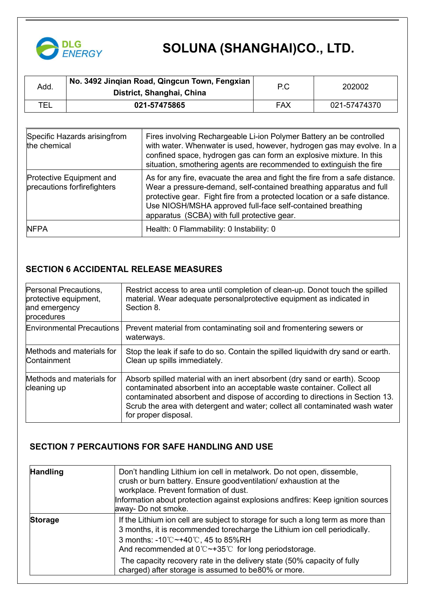

| Add. | $^\cdot$ No. 3492 Jinqian Road, Qingcun Town, Fengxian $\vert$<br>District, Shanghai, China | P.C        | 202002       |
|------|---------------------------------------------------------------------------------------------|------------|--------------|
| τ⊧ι  | 021-57475865                                                                                | <b>FAX</b> | 021-57474370 |

| Specific Hazards arisingfrom<br>the chemical            | Fires involving Rechargeable Li-ion Polymer Battery an be controlled<br>with water. Whenwater is used, however, hydrogen gas may evolve. In a<br>confined space, hydrogen gas can form an explosive mixture. In this<br>situation, smothering agents are recommended to extinguish the fire                                                  |
|---------------------------------------------------------|----------------------------------------------------------------------------------------------------------------------------------------------------------------------------------------------------------------------------------------------------------------------------------------------------------------------------------------------|
| Protective Equipment and<br>precautions forfirefighters | As for any fire, evacuate the area and fight the fire from a safe distance.<br>Wear a pressure-demand, self-contained breathing apparatus and full<br>protective gear. Fight fire from a protected location or a safe distance.<br>Use NIOSH/MSHA approved full-face self-contained breathing<br>apparatus (SCBA) with full protective gear. |
| <b>NFPA</b>                                             | Health: 0 Flammability: 0 Instability: 0                                                                                                                                                                                                                                                                                                     |

## **SECTION 6 ACCIDENTAL RELEASE MEASURES**

| Personal Precautions,<br>protective equipment,<br>and emergency<br>procedures | Restrict access to area until completion of clean-up. Donot touch the spilled<br>material. Wear adequate personalprotective equipment as indicated in<br>Section 8.                                                                                                                                                                          |
|-------------------------------------------------------------------------------|----------------------------------------------------------------------------------------------------------------------------------------------------------------------------------------------------------------------------------------------------------------------------------------------------------------------------------------------|
| <b>Environmental Precautions</b>                                              | Prevent material from contaminating soil and fromentering sewers or<br>waterways.                                                                                                                                                                                                                                                            |
| Methods and materials for<br>Containment                                      | Stop the leak if safe to do so. Contain the spilled liquid with dry sand or earth.<br>Clean up spills immediately.                                                                                                                                                                                                                           |
| Methods and materials for<br>cleaning up                                      | Absorb spilled material with an inert absorbent (dry sand or earth). Scoop<br>contaminated absorbent into an acceptable waste container. Collect all<br>contaminated absorbent and dispose of according to directions in Section 13.<br>Scrub the area with detergent and water; collect all contaminated wash water<br>for proper disposal. |

### **SECTION 7 PERCAUTIONS FOR SAFE HANDLING AND USE**

| <b>Handling</b> | Don't handling Lithium ion cell in metalwork. Do not open, dissemble,<br>crush or burn battery. Ensure goodventilation/exhaustion at the<br>workplace. Prevent formation of dust.<br>Information about protection against explosions andfires: Keep ignition sources<br>away- Do not smoke.              |
|-----------------|----------------------------------------------------------------------------------------------------------------------------------------------------------------------------------------------------------------------------------------------------------------------------------------------------------|
| <b>Storage</b>  | If the Lithium ion cell are subject to storage for such a long term as more than<br>3 months, it is recommended torecharge the Lithium ion cell periodically.<br>3 months: -10 $\degree$ C ~+40 $\degree$ C, 45 to 85%RH<br>And recommended at $0^{\circ}$ $\sim$ +35 $^{\circ}$ for long periodstorage. |
|                 | The capacity recovery rate in the delivery state (50% capacity of fully<br>charged) after storage is assumed to be80% or more.                                                                                                                                                                           |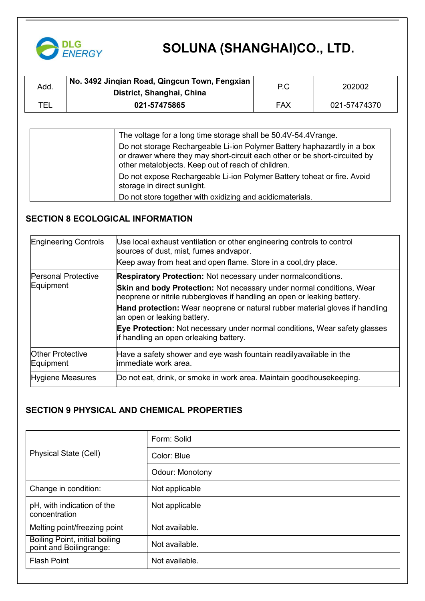

| Add | No. 3492 Jingian Road, Qingcun Town, Fengxian<br>District, Shanghai, China | P.C | 202002       |
|-----|----------------------------------------------------------------------------|-----|--------------|
| TEL | 021-57475865                                                               | FAX | 021-57474370 |

| The voltage for a long time storage shall be 50.4V-54.4Vrange.<br>Do not storage Rechargeable Li-ion Polymer Battery haphazardly in a box<br>or drawer where they may short-circuit each other or be short-circuited by<br>other metalobjects. Keep out of reach of children. |  |
|-------------------------------------------------------------------------------------------------------------------------------------------------------------------------------------------------------------------------------------------------------------------------------|--|
| Do not expose Rechargeable Li-ion Polymer Battery toheat or fire. Avoid<br>storage in direct sunlight.<br>Do not store together with oxidizing and acidicmaterials.                                                                                                           |  |

## **SECTION 8 ECOLOGICAL INFORMATION**

| <b>Engineering Controls</b>          | Use local exhaust ventilation or other engineering controls to control<br>sources of dust, mist, fumes andvapor.                                  |
|--------------------------------------|---------------------------------------------------------------------------------------------------------------------------------------------------|
|                                      | Keep away from heat and open flame. Store in a cool, dry place.                                                                                   |
| <b>Personal Protective</b>           | <b>Respiratory Protection: Not necessary under normalconditions.</b>                                                                              |
| Equipment                            | Skin and body Protection: Not necessary under normal conditions, Wear<br>neoprene or nitrile rubbergloves if handling an open or leaking battery. |
|                                      | Hand protection: Wear neoprene or natural rubber material gloves if handling<br>an open or leaking battery.                                       |
|                                      | Eye Protection: Not necessary under normal conditions, Wear safety glasses<br>if handling an open orleaking battery.                              |
| <b>Other Protective</b><br>Equipment | Have a safety shower and eye wash fountain readilyavailable in the<br>limmediate work area.                                                       |
| Hygiene Measures                     | Do not eat, drink, or smoke in work area. Maintain goodhousekeeping.                                                                              |
|                                      |                                                                                                                                                   |

## **SECTION 9 PHYSICAL AND CHEMICAL PROPERTIES**

|                                                           | Form: Solid     |
|-----------------------------------------------------------|-----------------|
| <b>Physical State (Cell)</b>                              | Color: Blue     |
|                                                           | Odour: Monotony |
| Change in condition:                                      | Not applicable  |
| pH, with indication of the<br>concentration               | Not applicable  |
| Melting point/freezing point                              | Not available.  |
| Boiling Point, initial boiling<br>point and Boilingrange: | Not available.  |
| <b>Flash Point</b>                                        | Not available.  |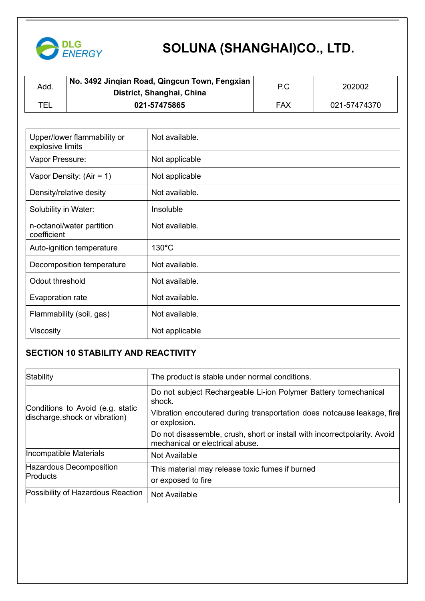

| Add. | No. 3492 Jingian Road, Qingcun Town, Fengxian<br>District, Shanghai, China | P.C | 202002       |
|------|----------------------------------------------------------------------------|-----|--------------|
| TEL  | 021-57475865                                                               | FAX | 021-57474370 |

| Upper/lower flammability or<br>explosive limits | Not available.  |
|-------------------------------------------------|-----------------|
| Vapor Pressure:                                 | Not applicable  |
| Vapor Density: $(Air = 1)$                      | Not applicable  |
| Density/relative desity                         | Not available.  |
| Solubility in Water:                            | Insoluble       |
| n-octanol/water partition<br>coefficient        | Not available.  |
| Auto-ignition temperature                       | $130^{\circ}$ C |
| Decomposition temperature                       | Not available.  |
| Odout threshold                                 | Not available.  |
| Evaporation rate                                | Not available.  |
| Flammability (soil, gas)                        | Not available.  |
| Viscosity                                       | Not applicable  |

### **SECTION 10 STABILITY AND REACTIVITY**

| Stability                                                          | The product is stable under normal conditions.                                                                |
|--------------------------------------------------------------------|---------------------------------------------------------------------------------------------------------------|
|                                                                    | Do not subject Rechargeable Li-ion Polymer Battery tomechanical<br>shock.                                     |
| Conditions to Avoid (e.g. static<br>discharge, shock or vibration) | Vibration encoutered during transportation does notcause leakage, fire<br>or explosion.                       |
|                                                                    | Do not disassemble, crush, short or install with incorrect polarity. Avoid<br>mechanical or electrical abuse. |
| Incompatible Materials                                             | Not Available                                                                                                 |
| Hazardous Decomposition<br>Products                                | This material may release toxic fumes if burned<br>or exposed to fire                                         |
| Possibility of Hazardous Reaction                                  | Not Available                                                                                                 |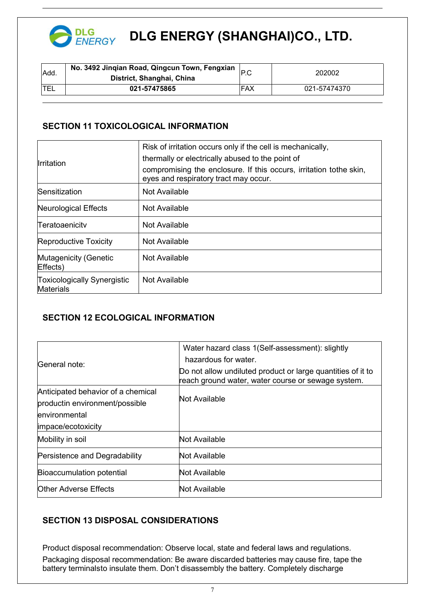

## **DLG ENERGY (SHANGHAI)CO., LTD.**

| Add. | No. 3492 Jinqian Road, Qingcun Town, Fengxian<br>District, Shanghai, China | IP.C | 202002       |
|------|----------------------------------------------------------------------------|------|--------------|
| ᄃᄂ   | 021-57475865                                                               | FAX  | 021-57474370 |

#### **SECTION 11 TOXICOLOGICAL INFORMATION**

| <b>Irritation</b>                               | Risk of irritation occurs only if the cell is mechanically,<br>thermally or electrically abused to the point of<br>compromising the enclosure. If this occurs, irritation to the skin,<br>eyes and respiratory tract may occur. |  |
|-------------------------------------------------|---------------------------------------------------------------------------------------------------------------------------------------------------------------------------------------------------------------------------------|--|
| Sensitization                                   | Not Available                                                                                                                                                                                                                   |  |
| Neurological Effects                            | Not Available                                                                                                                                                                                                                   |  |
| Teratoaenicitv                                  | Not Available                                                                                                                                                                                                                   |  |
| Reproductive Toxicity                           | Not Available                                                                                                                                                                                                                   |  |
| Mutagenicity (Genetic<br>Effects)               | Not Available                                                                                                                                                                                                                   |  |
| <b>Toxicologically Synergistic</b><br>Materials | Not Available                                                                                                                                                                                                                   |  |

## **SECTION 12 ECOLOGICAL INFORMATION**

|                                    | Water hazard class 1(Self-assessment): slightly                                                                   |  |  |
|------------------------------------|-------------------------------------------------------------------------------------------------------------------|--|--|
| General note:                      | hazardous for water.                                                                                              |  |  |
|                                    | Do not allow undiluted product or large quantities of it to<br>reach ground water, water course or sewage system. |  |  |
| Anticipated behavior of a chemical |                                                                                                                   |  |  |
| productin environment/possible     | Not Available                                                                                                     |  |  |
| environmental                      |                                                                                                                   |  |  |
| impace/ecotoxicity                 |                                                                                                                   |  |  |
| Mobility in soil                   | Not Available                                                                                                     |  |  |
| Persistence and Degradability      | Not Available                                                                                                     |  |  |
| Bioaccumulation potential          | Not Available                                                                                                     |  |  |
| <b>Other Adverse Effects</b>       | Not Available                                                                                                     |  |  |
|                                    |                                                                                                                   |  |  |

## **SECTION 13 DISPOSAL CONSIDERATIONS**

Product disposal recommendation: Observe local, state and federal laws and regulations. Packaging disposal recommendation: Be aware discarded batteries may cause fire, tape the battery terminalsto insulate them. Don't disassembly the battery. Completely discharge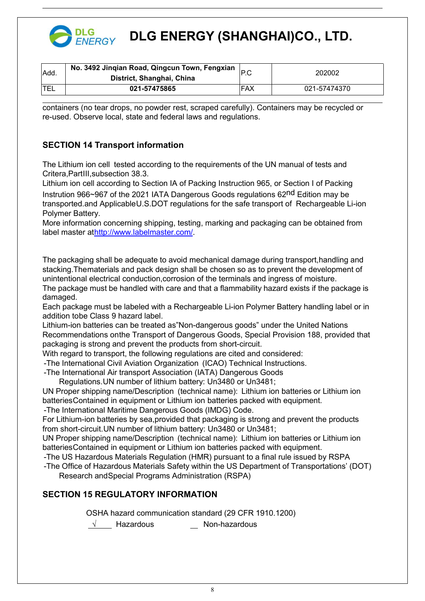

## **DLG ENERGY (SHANGHAI)CO., LTD.**

| Add. | No. 3492 Jinqian Road, Qingcun Town, Fengxian<br>District, Shanghai, China |     | 202002       |
|------|----------------------------------------------------------------------------|-----|--------------|
|      | 021-57475865                                                               | FAX | 021-57474370 |

containers (no tear drops, no powder rest, scraped carefully). Containers may be recycled or re-used. Observe local, state and federal laws and regulations.

### **SECTION 14 Transport information**

The Lithium ion cell tested according to the requirements of the UN manual of tests and Critera,PartIII,subsection 38.3.

Lithium ion cell according to Section IA of Packing Instruction 965, or Section I of Packing

Instrution 966~967 of the 2021 IATA Dangerous Goods regulations 62nd Edition may be transported.and ApplicableU.S.DOT regulations for the safe transport of Rechargeable Li-ion Polymer Battery.

More information concerning shipping, testing, marking and packaging can be obtained from label master at[http://www.labelmaster.com/.](http://www.labelmaster.com/)

The packaging shall be adequate to avoid mechanical damage during transport,handling and stacking.Thematerials and pack design shall be chosen so as to prevent the development of unintentional electrical conduction,corrosion of the terminals and ingress of moisture.

The package must be handled with care and that a flammability hazard exists if the package is damaged.

Each package must be labeled with a Rechargeable Li-ion Polymer Battery handling label or in addition tobe Class 9 hazard label.

Lithium-ion batteries can be treated as"Non-dangerous goods" under the United Nations Recommendations onthe Transport of Dangerous Goods, Special Provision 188, provided that packaging is strong and prevent the products from short-circuit.

With regard to transport, the following regulations are cited and considered:

-The International Civil Aviation Organization (ICAO) Technical Instructions.

-The International Air transport Association (IATA) Dangerous Goods

Regulations.UN number of lithium battery: Un3480 or Un3481;

UN Proper shipping name/Description (technical name): Lithium ion batteries or Lithium ion batteriesContained in equipment or Lithium ion batteries packed with equipment.

-The International Maritime Dangerous Goods (IMDG) Code.

For Lithium-ion batteries by sea,provided that packaging is strong and prevent the products from short-circuit. UN number of lithium battery: Un3480 or Un3481:

UN Proper shipping name/Description (technical name): Lithium ion batteries or Lithium ion batteriesContained in equipment or Lithium ion batteries packed with equipment.

-The US Hazardous Materials Regulation (HMR) pursuant to a final rule issued by RSPA

-The Office of Hazardous Materials Safety within the US Department of Transportations' (DOT) Research andSpecial Programs Administration (RSPA)

#### **SECTION 15 REGULATORY INFORMATION**

OSHA hazard communication standard (29 CFR 1910.1200)

√ Hazardous Non-hazardous